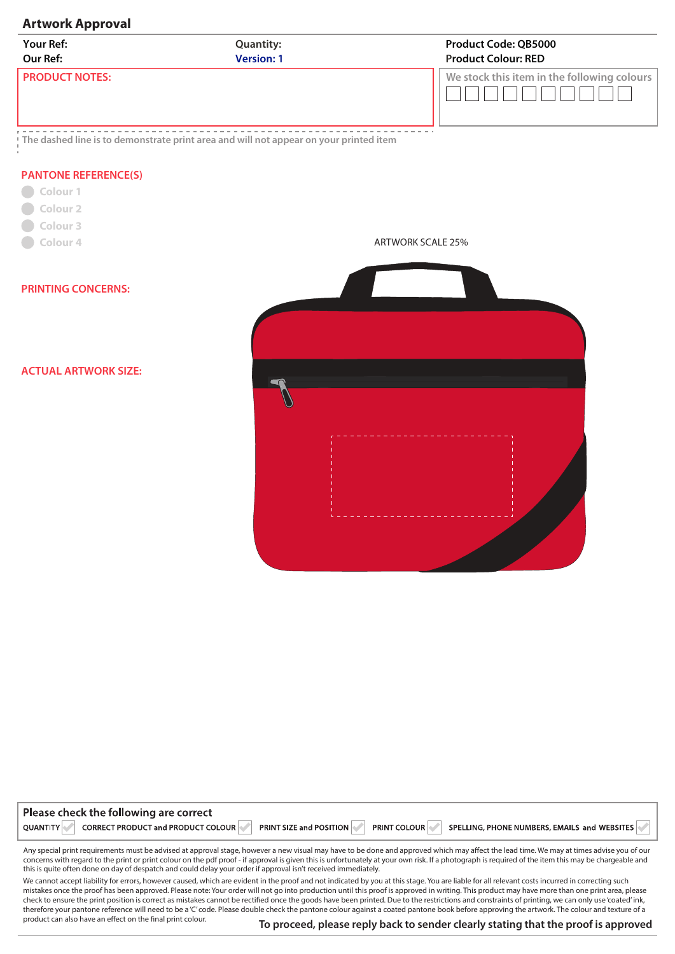## **Artwork Approval**

| <b>Your Ref:</b>      | <b>Quantity:</b>  | <b>Product Code: QB5000</b>                 |
|-----------------------|-------------------|---------------------------------------------|
| Our Ref:              | <b>Version: 1</b> | <b>Product Colour: RED</b>                  |
| <b>PRODUCT NOTES:</b> |                   | We stock this item in the following colours |

**The dashed line is to demonstrate print area and will not appear on your printed item**

## **PANTONE REFERENCE(S)**

Colour<sub>1</sub> **Colour 2 Colour 3 Colour 4**



**PRINTING CONCERNS:** 

## **ACTUAL ARTWORK SIZE:**

| Please check the following are correct                |                                                       |                                              |
|-------------------------------------------------------|-------------------------------------------------------|----------------------------------------------|
| <b>QUANTITY</b><br>CORRECT PRODUCT and PRODUCT COLOUR | <b>PRINT SIZE and POSITION</b><br><b>PRINT COLOUR</b> | SPELLING, PHONE NUMBERS, EMAILS and WEBSITES |

Any special print requirements must be advised at approval stage, however a new visual may have to be done and approved which may affect the lead time. We may at times advise you of our concerns with regard to the print or print colour on the pdf proof - if approval is given this is unfortunately at your own risk. If a photograph is required of the item this may be chargeable and this is quite often done on day of despatch and could delay your order if approval isn't received immediately.

We cannot accept liability for errors, however caused, which are evident in the proof and not indicated by you at this stage. You are liable for all relevant costs incurred in correcting such mistakes once the proof has been approved. Please note: Your order will not go into production until this proof is approved in writing. This product may have more than one print area, please check to ensure the print position is correct as mistakes cannot be rectied once the goods have been printed. Due to the restrictions and constraints of printing, we can only use 'coated' ink, therefore your pantone reference will need to be a 'C' code. Please double check the pantone colour against a coated pantone book before approving the artwork. The colour and texture of a product can also have an effect on the final print colour.